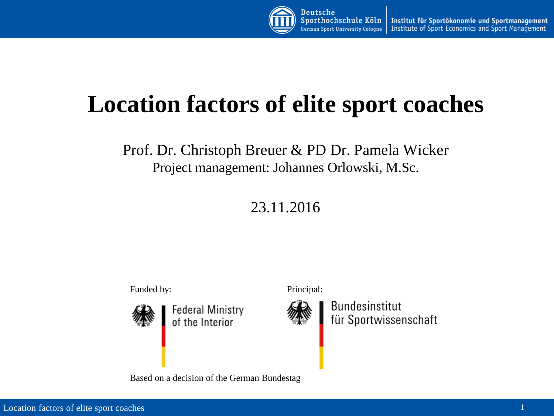

## **Location factors of elite sport coaches**

Prof. Dr. Christoph Breuer & PD Dr. Pamela Wicker Project management: Johannes Orlowski, M.Sc.

23.11.2016

Funded by: Principal:



Based on a decision of the German Bundestag



Bundesinstitut für Sportwissenschaft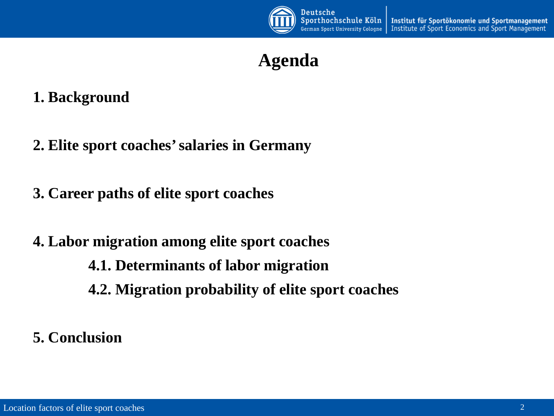

## **Agenda**

### **1. Background**

- **2. Elite sport coaches' salaries in Germany**
- **3. Career paths of elite sport coaches**
- **4. Labor migration among elite sport coaches**
	- **4.1. Determinants of labor migration**
	- **4.2. Migration probability of elite sport coaches**
- **5. Conclusion**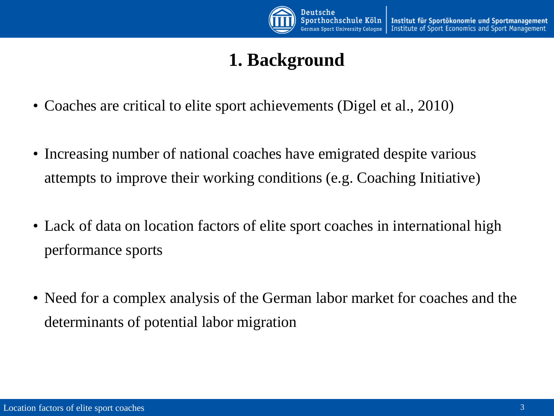

## **1. Background**

- Coaches are critical to elite sport achievements (Digel et al., 2010)
- Increasing number of national coaches have emigrated despite various attempts to improve their working conditions (e.g. Coaching Initiative)
- Lack of data on location factors of elite sport coaches in international high performance sports
- Need for a complex analysis of the German labor market for coaches and the determinants of potential labor migration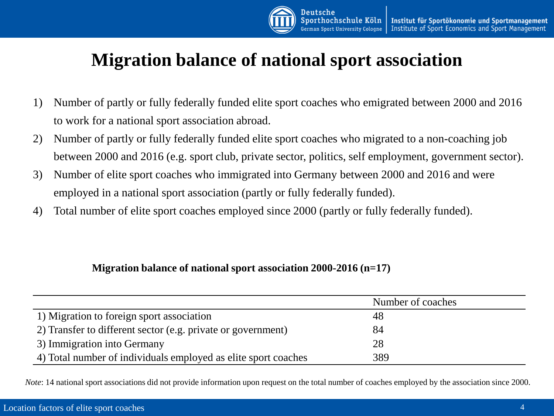

## **Migration balance of national sport association**

- 1) Number of partly or fully federally funded elite sport coaches who emigrated between 2000 and 2016 to work for a national sport association abroad.
- 2) Number of partly or fully federally funded elite sport coaches who migrated to a non-coaching job between 2000 and 2016 (e.g. sport club, private sector, politics, self employment, government sector).
- 3) Number of elite sport coaches who immigrated into Germany between 2000 and 2016 and were employed in a national sport association (partly or fully federally funded).
- 4) Total number of elite sport coaches employed since 2000 (partly or fully federally funded).

#### **Migration balance of national sport association 2000-2016 (n=17)**

|                                                                | Number of coaches |  |
|----------------------------------------------------------------|-------------------|--|
| 1) Migration to foreign sport association                      | 48                |  |
| 2) Transfer to different sector (e.g. private or government)   | 84                |  |
| 3) Immigration into Germany                                    | 28                |  |
| 4) Total number of individuals employed as elite sport coaches | 389               |  |

*Note*: 14 national sport associations did not provide information upon request on the total number of coaches employed by the association since 2000.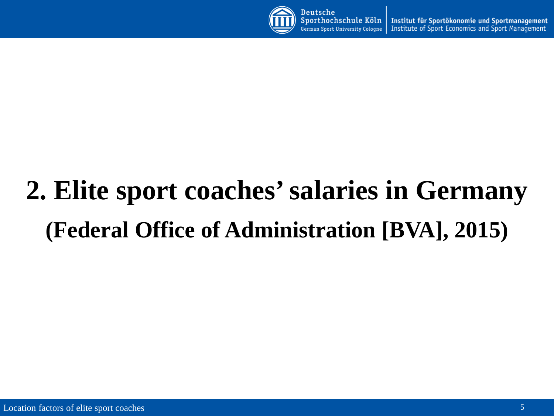

Institut für Sportökonomie und Sportmanagement German Sport University Cologne Institute of Sport Economics and Sport Management

# **2. Elite sport coaches' salaries in Germany (Federal Office of Administration [BVA], 2015)**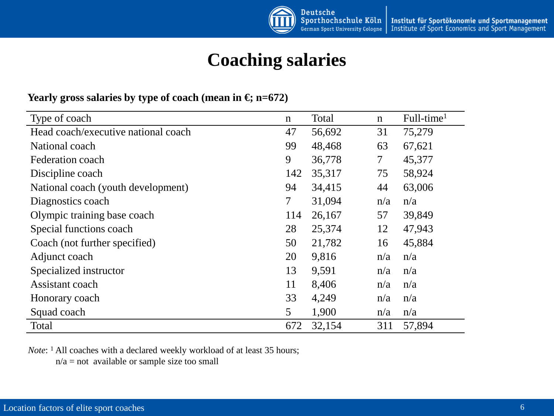

## **Coaching salaries**

#### **Yearly gross salaries by type of coach (mean in**  $\epsilon$ **) n=672)**

| Type of coach                       | $\mathbf n$ | Total  | $\mathbf n$    | Full-time <sup>1</sup> |
|-------------------------------------|-------------|--------|----------------|------------------------|
| Head coach/executive national coach | 47          | 56,692 | 31             | 75,279                 |
| National coach                      | 99          | 48,468 | 63             | 67,621                 |
| Federation coach                    | 9           | 36,778 | $\overline{7}$ | 45,377                 |
| Discipline coach                    | 142         | 35,317 | 75             | 58,924                 |
| National coach (youth development)  | 94          | 34,415 | 44             | 63,006                 |
| Diagnostics coach                   | 7           | 31,094 | n/a            | n/a                    |
| Olympic training base coach         | 114         | 26,167 | 57             | 39,849                 |
| Special functions coach             | 28          | 25,374 | 12             | 47,943                 |
| Coach (not further specified)       | 50          | 21,782 | 16             | 45,884                 |
| Adjunct coach                       | 20          | 9,816  | n/a            | n/a                    |
| Specialized instructor              | 13          | 9,591  | n/a            | n/a                    |
| Assistant coach                     | 11          | 8,406  | n/a            | n/a                    |
| Honorary coach                      | 33          | 4,249  | n/a            | n/a                    |
| Squad coach                         | 5           | 1,900  | n/a            | n/a                    |
| Total                               | 672         | 32,154 | 311            | 57,894                 |

*Note*: <sup>1</sup> All coaches with a declared weekly workload of at least 35 hours;

 $n/a = not available or sample size too small$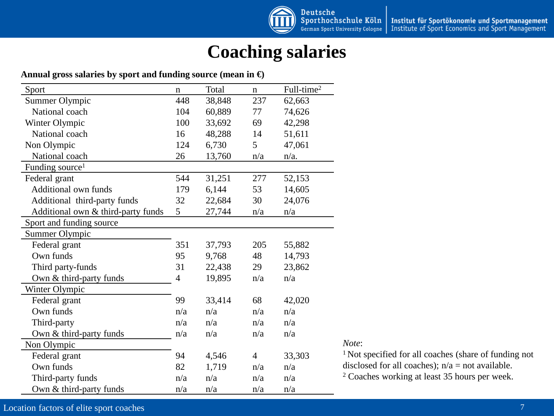

## **Coaching salaries**

#### **Annual gross salaries by sport and funding source (mean in €)**

| Sport                              | $\mathbf n$ | Total  | $\mathbf n$    | Full-time <sup>2</sup> |
|------------------------------------|-------------|--------|----------------|------------------------|
| Summer Olympic                     | 448         | 38,848 | 237            | 62,663                 |
| National coach                     | 104         | 60,889 | 77             | 74,626                 |
| Winter Olympic                     | 100         | 33,692 | 69             | 42,298                 |
| National coach                     | 16          | 48,288 | 14             | 51,611                 |
| Non Olympic                        | 124         | 6,730  | 5              | 47,061                 |
| National coach                     | 26          | 13,760 | n/a            | $n/a$ .                |
| Funding source <sup>1</sup>        |             |        |                |                        |
| Federal grant                      | 544         | 31,251 | 277            | 52,153                 |
| <b>Additional own funds</b>        | 179         | 6,144  | 53             | 14,605                 |
| Additional third-party funds       | 32          | 22,684 | 30             | 24,076                 |
| Additional own & third-party funds | 5           | 27,744 | n/a            | n/a                    |
| Sport and funding source           |             |        |                |                        |
| Summer Olympic                     |             |        |                |                        |
| Federal grant                      | 351         | 37,793 | 205            | 55,882                 |
| Own funds                          | 95          | 9,768  | 48             | 14,793                 |
| Third party-funds                  | 31          | 22,438 | 29             | 23,862                 |
| Own & third-party funds            | 4           | 19,895 | n/a            | n/a                    |
| Winter Olympic                     |             |        |                |                        |
| Federal grant                      | 99          | 33,414 | 68             | 42,020                 |
| Own funds                          | n/a         | n/a    | n/a            | n/a                    |
| Third-party                        | n/a         | n/a    | n/a            | n/a                    |
| Own & third-party funds            | n/a         | n/a    | n/a            | n/a                    |
| Non Olympic                        |             |        |                |                        |
| Federal grant                      | 94          | 4,546  | $\overline{4}$ | 33,303                 |
| Own funds                          | 82          | 1,719  | n/a            | n/a                    |
| Third-party funds                  | n/a         | n/a    | n/a            | n/a                    |
| Own & third-party funds            | n/a         | n/a    | n/a            | n/a                    |

#### *Note*:

1 Not specified for all coaches (share of funding not disclosed for all coaches);  $n/a = not available$ . <sup>2</sup> Coaches working at least 35 hours per week.

#### Location factors of elite sport coaches 7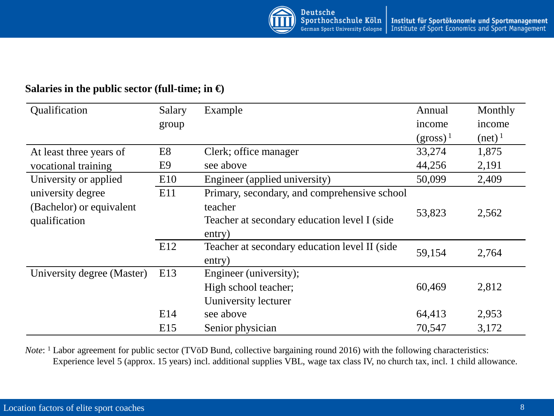

#### **Salaries in the public sector (full-time; in €)**

| Qualification              | Salary         | Example                                        | Annual      | Monthly          |  |
|----------------------------|----------------|------------------------------------------------|-------------|------------------|--|
|                            | group          |                                                | income      | income           |  |
|                            |                |                                                | $(gross)^1$ | $(\text{net})^1$ |  |
| At least three years of    | E <sub>8</sub> | Clerk; office manager                          | 33,274      | 1,875            |  |
| vocational training        | E <sub>9</sub> | see above                                      | 44,256      | 2,191            |  |
| University or applied      | E10            | Engineer (applied university)                  | 50,099      | 2,409            |  |
| university degree          | E11            | Primary, secondary, and comprehensive school   |             |                  |  |
| (Bachelor) or equivalent   |                | teacher                                        | 53,823      | 2,562            |  |
| qualification              |                | Teacher at secondary education level I (side   |             |                  |  |
|                            |                | entry)                                         |             |                  |  |
|                            | E12            | Teacher at secondary education level II (side) | 59,154      | 2,764            |  |
|                            |                | entry)                                         |             |                  |  |
| University degree (Master) | E13            | Engineer (university);                         |             |                  |  |
|                            |                | High school teacher;                           | 60,469      | 2,812            |  |
|                            |                | Uuniversity lecturer                           |             |                  |  |
|                            | E14            | see above                                      | 64,413      | 2,953            |  |
|                            | E15            | Senior physician                               | 70,547      | 3,172            |  |

*Note*: <sup>1</sup> Labor agreement for public sector (TVöD Bund, collective bargaining round 2016) with the following characteristics: Experience level 5 (approx. 15 years) incl. additional supplies VBL, wage tax class IV, no church tax, incl. 1 child allowance.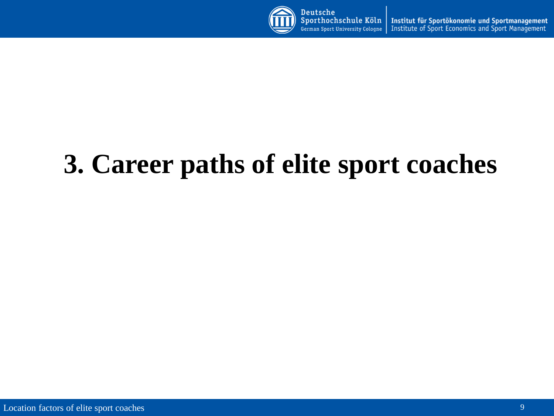

Sporthochschule Köln Institut für Sportökonomie und Sportmanagement Institute of Sport Economics and Sport Management German Sport University Cologne

# **3. Career paths of elite sport coaches**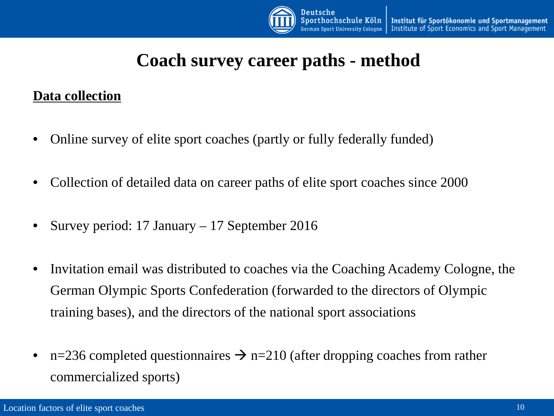

## **Coach survey career paths - method**

#### **Data collection**

- Online survey of elite sport coaches (partly or fully federally funded)
- Collection of detailed data on career paths of elite sport coaches since 2000
- Survey period: 17 January 17 September 2016
- Invitation email was distributed to coaches via the Coaching Academy Cologne, the German Olympic Sports Confederation (forwarded to the directors of Olympic training bases), and the directors of the national sport associations
- n=236 completed questionnaires  $\rightarrow$  n=210 (after dropping coaches from rather commercialized sports)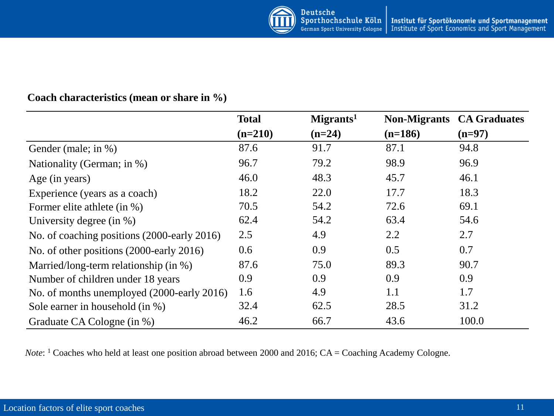#### **Coach characteristics (mean or share in %)**

|                                             | <b>Total</b> | Migrants <sup>1</sup> | <b>Non-Migrants CA Graduates</b> |          |
|---------------------------------------------|--------------|-----------------------|----------------------------------|----------|
|                                             | $(n=210)$    | $(n=24)$              | $(n=186)$                        | $(n=97)$ |
| Gender (male; in %)                         | 87.6         | 91.7                  | 87.1                             | 94.8     |
| Nationality (German; in %)                  | 96.7         | 79.2                  | 98.9                             | 96.9     |
| Age (in years)                              | 46.0         | 48.3                  | 45.7                             | 46.1     |
| Experience (years as a coach)               | 18.2         | 22.0                  | 17.7                             | 18.3     |
| Former elite athlete (in %)                 | 70.5         | 54.2                  | 72.6                             | 69.1     |
| University degree (in $\%$ )                | 62.4         | 54.2                  | 63.4                             | 54.6     |
| No. of coaching positions (2000-early 2016) | 2.5          | 4.9                   | 2.2                              | 2.7      |
| No. of other positions (2000-early 2016)    | 0.6          | 0.9                   | 0.5                              | 0.7      |
| Married/long-term relationship (in %)       | 87.6         | 75.0                  | 89.3                             | 90.7     |
| Number of children under 18 years           | 0.9          | 0.9                   | 0.9                              | 0.9      |
| No. of months unemployed (2000-early 2016)  | 1.6          | 4.9                   | 1.1                              | 1.7      |
| Sole earner in household (in %)             | 32.4         | 62.5                  | 28.5                             | 31.2     |
| Graduate CA Cologne (in %)                  | 46.2         | 66.7                  | 43.6                             | 100.0    |

*Note*: <sup>1</sup> Coaches who held at least one position abroad between 2000 and 2016; CA = Coaching Academy Cologne.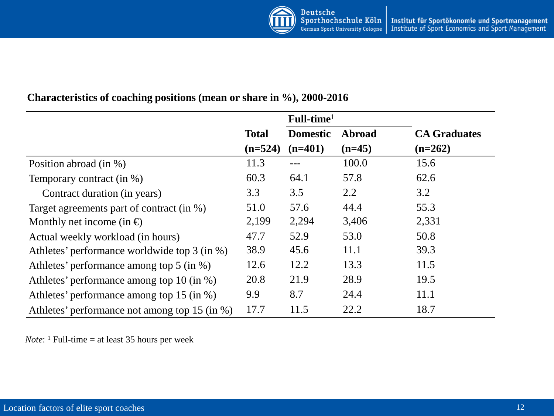|                                               |              | $Full-time1$    |          |                     |
|-----------------------------------------------|--------------|-----------------|----------|---------------------|
|                                               | <b>Total</b> | <b>Domestic</b> | Abroad   | <b>CA Graduates</b> |
|                                               | $(n=524)$    | $(n=401)$       | $(n=45)$ | $(n=262)$           |
| Position abroad (in %)                        | 11.3         |                 | 100.0    | 15.6                |
| Temporary contract (in %)                     | 60.3         | 64.1            | 57.8     | 62.6                |
| Contract duration (in years)                  | 3.3          | 3.5             | 2.2      | 3.2                 |
| Target agreements part of contract (in %)     | 51.0         | 57.6            | 44.4     | 55.3                |
| Monthly net income (in $\oplus$               | 2,199        | 2,294           | 3,406    | 2,331               |
| Actual weekly workload (in hours)             | 47.7         | 52.9            | 53.0     | 50.8                |
| Athletes' performance worldwide top 3 (in %)  | 38.9         | 45.6            | 11.1     | 39.3                |
| Athletes' performance among top 5 (in %)      | 12.6         | 12.2            | 13.3     | 11.5                |
| Athletes' performance among top 10 (in %)     | 20.8         | 21.9            | 28.9     | 19.5                |
| Athletes' performance among top 15 (in %)     | 9.9          | 8.7             | 24.4     | 11.1                |
| Athletes' performance not among top 15 (in %) | 17.7         | 11.5            | 22.2     | 18.7                |

#### **Characteristics of coaching positions (mean or share in %), 2000-2016**

*Note*: <sup>1</sup> Full-time = at least 35 hours per week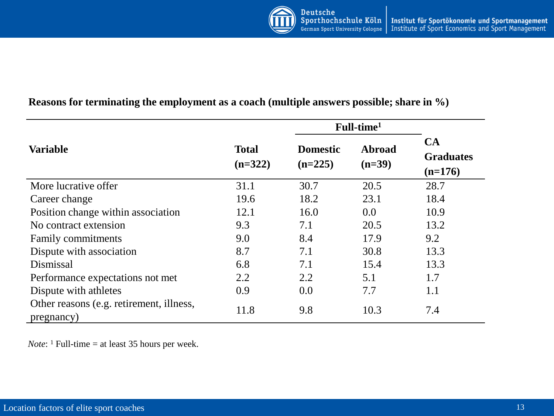

#### **Reasons for terminating the employment as a coach (multiple answers possible; share in %)**

|                                                        |                           |                              | Full-time <sup>1</sup> |                                     |
|--------------------------------------------------------|---------------------------|------------------------------|------------------------|-------------------------------------|
| <b>Variable</b>                                        | <b>Total</b><br>$(n=322)$ | <b>Domestic</b><br>$(n=225)$ | Abroad<br>$(n=39)$     | CA<br><b>Graduates</b><br>$(n=176)$ |
| More lucrative offer                                   | 31.1                      | 30.7                         | 20.5                   | 28.7                                |
| Career change                                          | 19.6                      | 18.2                         | 23.1                   | 18.4                                |
| Position change within association                     | 12.1                      | 16.0                         | 0.0                    | 10.9                                |
| No contract extension                                  | 9.3                       | 7.1                          | 20.5                   | 13.2                                |
| Family commitments                                     | 9.0                       | 8.4                          | 17.9                   | 9.2                                 |
| Dispute with association                               | 8.7                       | 7.1                          | 30.8                   | 13.3                                |
| Dismissal                                              | 6.8                       | 7.1                          | 15.4                   | 13.3                                |
| Performance expectations not met                       | 2.2                       | 2.2                          | 5.1                    | 1.7                                 |
| Dispute with athletes                                  | 0.9                       | 0.0                          | 7.7                    | 1.1                                 |
| Other reasons (e.g. retirement, illness,<br>pregnancy) | 11.8                      | 9.8                          | 10.3                   | 7.4                                 |

*Note*: <sup>1</sup> Full-time = at least 35 hours per week.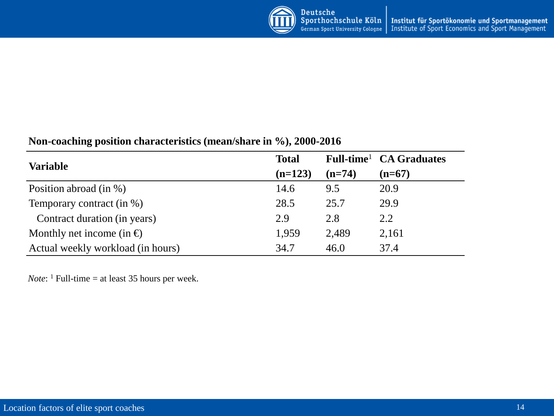

#### **Non-coaching position characteristics (mean/share in %), 2000-2016**

| <b>Variable</b>                   | <b>Total</b> |          | Full-time <sup>1</sup> CA Graduates |
|-----------------------------------|--------------|----------|-------------------------------------|
|                                   | $(n=123)$    | $(n=74)$ | $(n=67)$                            |
| Position abroad (in %)            | 14.6         | 9.5      | 20.9                                |
| Temporary contract (in %)         | 28.5         | 25.7     | 29.9                                |
| Contract duration (in years)      | 2.9          | 2.8      | 2.2                                 |
| Monthly net income (in $\oplus$ ) | 1,959        | 2,489    | 2,161                               |
| Actual weekly workload (in hours) | 34.7         | 46.0     | 37.4                                |

*Note*:  $\frac{1}{1}$  Full-time = at least 35 hours per week.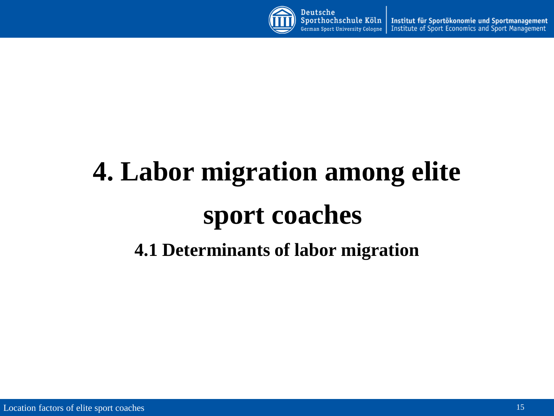

Institut für Sportökonomie und Sportmanagement German Sport University Cologne Institute of Sport Economics and Sport Management

# **4. Labor migration among elite sport coaches 4.1 Determinants of labor migration**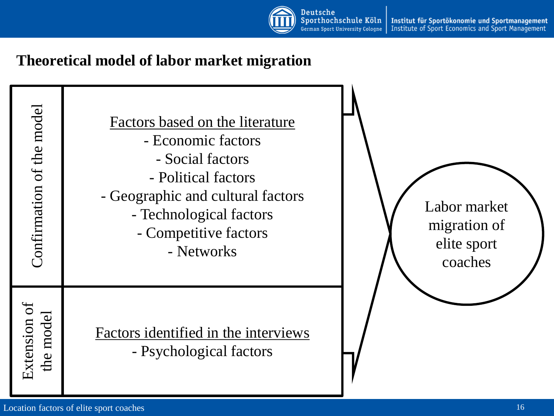

Institut für Sportökonomie und Sportmanagement Institute of Sport Economics and Sport Management

### **Theoretical model of labor market migration**

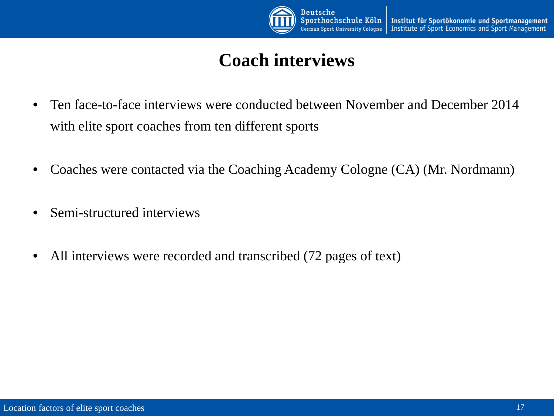

## **Coach interviews**

- Ten face-to-face interviews were conducted between November and December 2014 with elite sport coaches from ten different sports
- Coaches were contacted via the Coaching Academy Cologne (CA) (Mr. Nordmann)
- Semi-structured interviews
- All interviews were recorded and transcribed (72 pages of text)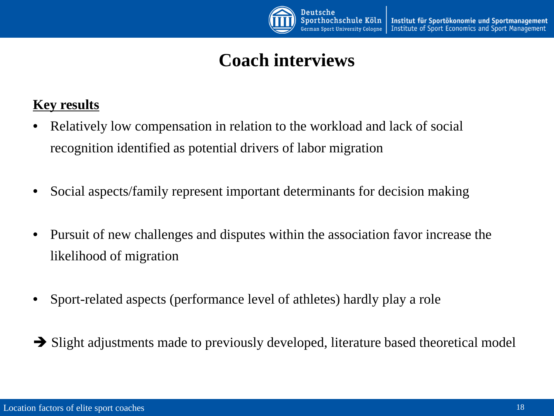

## **Coach interviews**

#### **Key results**

- Relatively low compensation in relation to the workload and lack of social recognition identified as potential drivers of labor migration
- Social aspects/family represent important determinants for decision making
- Pursuit of new challenges and disputes within the association favor increase the likelihood of migration
- Sport-related aspects (performance level of athletes) hardly play a role
- $\rightarrow$  Slight adjustments made to previously developed, literature based theoretical model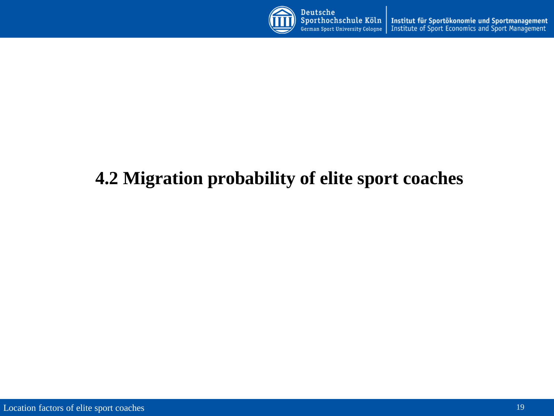

Institut für Sportökonomie und Sportmanagement<br>Institute of Sport Economics and Sport Management German Sport University Cologne

## **4.2 Migration probability of elite sport coaches**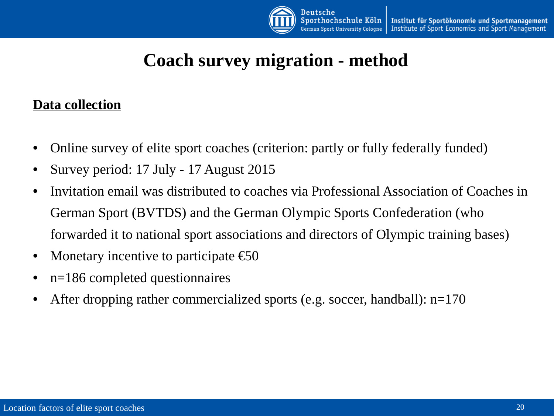

## **Coach survey migration - method**

#### **Data collection**

- Online survey of elite sport coaches (criterion: partly or fully federally funded)
- Survey period: 17 July 17 August 2015
- Invitation email was distributed to coaches via Professional Association of Coaches in German Sport (BVTDS) and the German Olympic Sports Confederation (who forwarded it to national sport associations and directors of Olympic training bases)
- Monetary incentive to participate  $\epsilon$ 60
- n=186 completed questionnaires
- After dropping rather commercialized sports (e.g. soccer, handball): n=170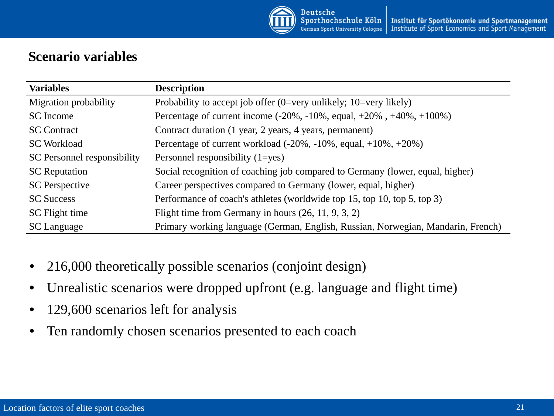

#### **Scenario variables**

| <b>Variables</b>            | <b>Description</b>                                                                 |
|-----------------------------|------------------------------------------------------------------------------------|
| Migration probability       | Probability to accept job offer $(0=very \ unlikely)$ ; 10=very likely)            |
| SC Income                   | Percentage of current income $(-20\%, -10\%, \text{ equal}, +20\%, +40\%, +100\%)$ |
| <b>SC</b> Contract          | Contract duration (1 year, 2 years, 4 years, permanent)                            |
| <b>SC Workload</b>          | Percentage of current workload $(-20\%,-10\% ,$ equal, $+10\%,+20\%)$              |
| SC Personnel responsibility | Personnel responsibility $(1 = yes)$                                               |
| <b>SC</b> Reputation        | Social recognition of coaching job compared to Germany (lower, equal, higher)      |
| <b>SC</b> Perspective       | Career perspectives compared to Germany (lower, equal, higher)                     |
| <b>SC Success</b>           | Performance of coach's athletes (worldwide top 15, top 10, top 5, top 3)           |
| SC Flight time              | Flight time from Germany in hours $(26, 11, 9, 3, 2)$                              |
| <b>SC</b> Language          | Primary working language (German, English, Russian, Norwegian, Mandarin, French)   |

- 216,000 theoretically possible scenarios (conjoint design)
- Unrealistic scenarios were dropped upfront (e.g. language and flight time)
- 129,600 scenarios left for analysis
- Ten randomly chosen scenarios presented to each coach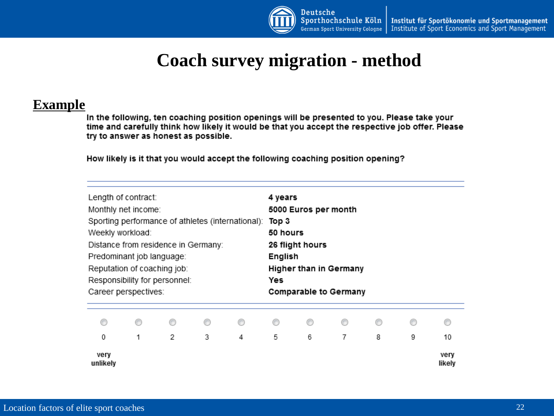

## **Coach survey migration - method**

#### **Example**

In the following, ten coaching position openings will be presented to you. Please take your time and carefully think how likely it would be that you accept the respective job offer. Please try to answer as honest as possible.

How likely is it that you would accept the following coaching position opening?

| Length of contract:<br>Monthly net income:<br>Sporting performance of athletes (international):<br>Weekly workload:<br>Distance from residence in Germany:<br>Predominant job language:<br>Reputation of coaching job:<br>Responsibility for personnel:<br>Career perspectives: |   |   | 4 years<br>Top 3<br>50 hours<br>English<br>Yes | 5000 Euros per month<br>26 flight hours | Higher than in Germany<br>Comparable to Germany |   |   |   |   |                |
|---------------------------------------------------------------------------------------------------------------------------------------------------------------------------------------------------------------------------------------------------------------------------------|---|---|------------------------------------------------|-----------------------------------------|-------------------------------------------------|---|---|---|---|----------------|
|                                                                                                                                                                                                                                                                                 |   |   |                                                | ∩                                       | ⊙                                               |   |   |   |   |                |
| 0                                                                                                                                                                                                                                                                               | 1 | 2 | 3                                              | 4                                       | 5                                               | 6 | 7 | 8 | 9 | 10             |
| very<br>unlikely                                                                                                                                                                                                                                                                |   |   |                                                |                                         |                                                 |   |   |   |   | very<br>likely |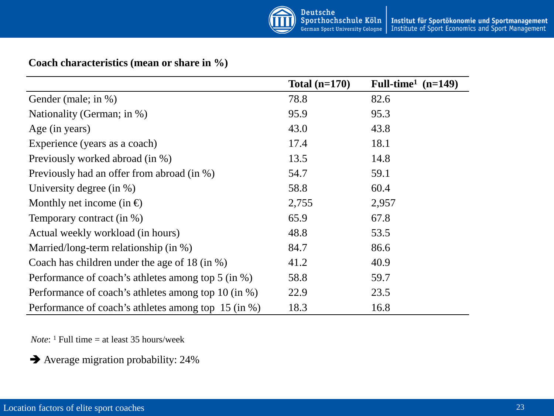

#### **Coach characteristics (mean or share in %)**

|                                                     | Total $(n=170)$ | Full-time <sup>1</sup> $(n=149)$ |
|-----------------------------------------------------|-----------------|----------------------------------|
| Gender (male; in %)                                 | 78.8            | 82.6                             |
| Nationality (German; in %)                          | 95.9            | 95.3                             |
| Age (in years)                                      | 43.0            | 43.8                             |
| Experience (years as a coach)                       | 17.4            | 18.1                             |
| Previously worked abroad (in %)                     | 13.5            | 14.8                             |
| Previously had an offer from abroad (in %)          | 54.7            | 59.1                             |
| University degree (in $\%$ )                        | 58.8            | 60.4                             |
| Monthly net income (in $\oplus$                     | 2,755           | 2,957                            |
| Temporary contract (in %)                           | 65.9            | 67.8                             |
| Actual weekly workload (in hours)                   | 48.8            | 53.5                             |
| Married/long-term relationship (in %)               | 84.7            | 86.6                             |
| Coach has children under the age of 18 (in $\%$ )   | 41.2            | 40.9                             |
| Performance of coach's athletes among top 5 (in %)  | 58.8            | 59.7                             |
| Performance of coach's athletes among top 10 (in %) | 22.9            | 23.5                             |
| Performance of coach's athletes among top 15 (in %) | 18.3            | 16.8                             |

*Note*: <sup>1</sup> Full time = at least 35 hours/week

Average migration probability: 24%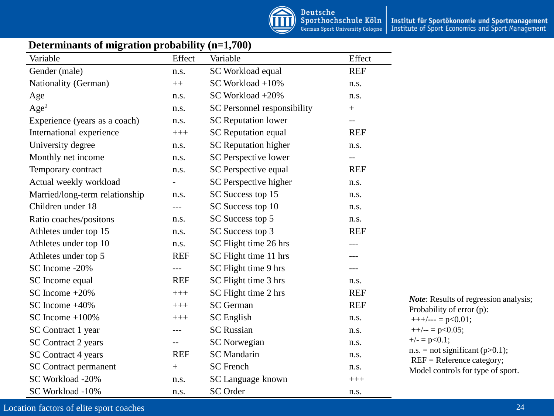

#### **Determinants of migration probability (n=1,700)**

| Variable                       | Effect                   | Variable                    | Effect     |                                                                  |
|--------------------------------|--------------------------|-----------------------------|------------|------------------------------------------------------------------|
| Gender (male)                  | n.s.                     | SC Workload equal           | <b>REF</b> |                                                                  |
| Nationality (German)           | $^{++}$                  | SC Workload +10%            | n.s.       |                                                                  |
| Age                            | n.s.                     | SC Workload +20%            | n.s.       |                                                                  |
| Age <sup>2</sup>               | n.s.                     | SC Personnel responsibility | $^+$       |                                                                  |
| Experience (years as a coach)  | n.s.                     | <b>SC</b> Reputation lower  | --         |                                                                  |
| International experience       | $+++$                    | <b>SC</b> Reputation equal  | <b>REF</b> |                                                                  |
| University degree              | n.s.                     | <b>SC</b> Reputation higher | n.s.       |                                                                  |
| Monthly net income             | n.s.                     | SC Perspective lower        | --         |                                                                  |
| Temporary contract             | n.s.                     | SC Perspective equal        | <b>REF</b> |                                                                  |
| Actual weekly workload         | $\overline{\phantom{0}}$ | SC Perspective higher       | n.s.       |                                                                  |
| Married/long-term relationship | n.s.                     | SC Success top 15           | n.s.       |                                                                  |
| Children under 18              | ---                      | SC Success top 10           | n.s.       |                                                                  |
| Ratio coaches/positons         | n.s.                     | SC Success top 5            | n.s.       |                                                                  |
| Athletes under top 15          | n.s.                     | SC Success top 3            | <b>REF</b> |                                                                  |
| Athletes under top 10          | n.s.                     | SC Flight time 26 hrs       | ---        |                                                                  |
| Athletes under top 5           | <b>REF</b>               | SC Flight time 11 hrs       | ---        |                                                                  |
| SC Income -20%                 | ---                      | SC Flight time 9 hrs        | ---        |                                                                  |
| SC Income equal                | <b>REF</b>               | SC Flight time 3 hrs        | n.s.       |                                                                  |
| SC Income $+20\%$              | $+++$                    | SC Flight time 2 hrs        | <b>REF</b> | <i>Note:</i> Results of regression analysis;                     |
| SC Income $+40\%$              | $+++$                    | <b>SC</b> German            | <b>REF</b> | Probability of error (p):                                        |
| SC Income $+100\%$             | $+++$                    | <b>SC</b> English           | n.s.       | $+++/-=$ p<0.01;                                                 |
| SC Contract 1 year             | $---$                    | <b>SC</b> Russian           | n.s.       | $++/-- = p<0.05;$                                                |
| SC Contract 2 years            | $-$                      | <b>SC</b> Norwegian         | n.s.       | $+/- = p < 0.1$ ;                                                |
| SC Contract 4 years            | <b>REF</b>               | <b>SC</b> Mandarin          | n.s.       | $n.s. = not significant (p>0.1);$<br>$REF = Reference category;$ |
| <b>SC</b> Contract permanent   | $+$                      | <b>SC</b> French            | n.s.       | Model controls for type of sport.                                |
| SC Workload -20%               | n.s.                     | SC Language known           | $+++$      |                                                                  |
| SC Workload -10%               | n.s.                     | <b>SC</b> Order             | n.s.       |                                                                  |

Location factors of elite sport coaches 24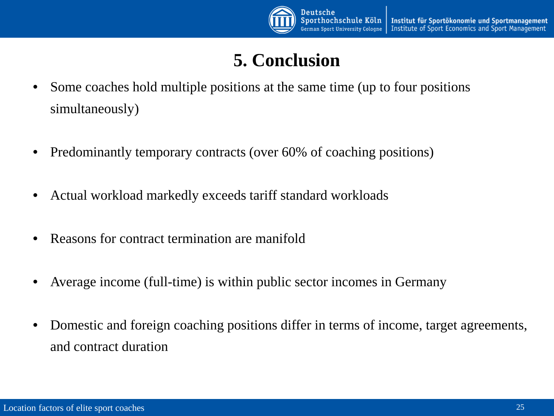

## **5. Conclusion**

- Some coaches hold multiple positions at the same time (up to four positions simultaneously)
- Predominantly temporary contracts (over 60% of coaching positions)
- Actual workload markedly exceeds tariff standard workloads
- Reasons for contract termination are manifold
- Average income (full-time) is within public sector incomes in Germany
- Domestic and foreign coaching positions differ in terms of income, target agreements, and contract duration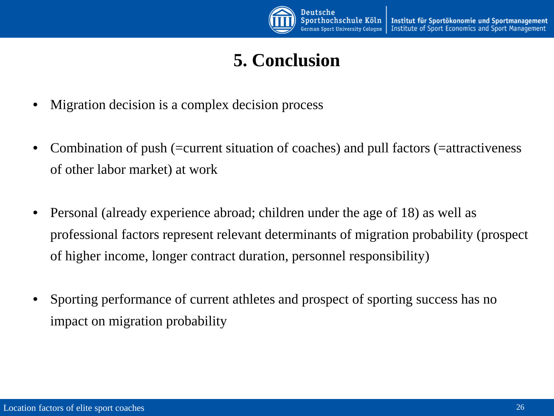

## **5. Conclusion**

- Migration decision is a complex decision process
- Combination of push (=current situation of coaches) and pull factors (=attractiveness of other labor market) at work
- Personal (already experience abroad; children under the age of 18) as well as professional factors represent relevant determinants of migration probability (prospect of higher income, longer contract duration, personnel responsibility)
- Sporting performance of current athletes and prospect of sporting success has no impact on migration probability